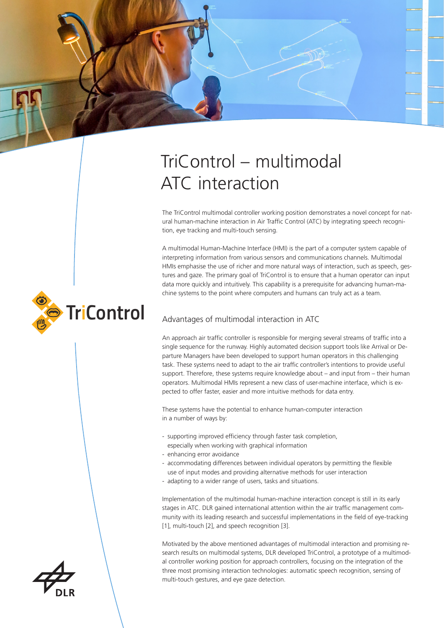# TriControl – multimodal ATC interaction

The TriControl multimodal controller working position demonstrates a novel concept for natural human-machine interaction in Air Traffic Control (ATC) by integrating speech recognition, eye tracking and multi-touch sensing.

A multimodal Human-Machine Interface (HMI) is the part of a computer system capable of interpreting information from various sensors and communications channels. Multimodal HMIs emphasise the use of richer and more natural ways of interaction, such as speech, gestures and gaze. The primary goal of TriControl is to ensure that a human operator can input data more quickly and intuitively. This capability is a prerequisite for advancing human-machine systems to the point where computers and humans can truly act as a team.

## Advantages of multimodal interaction in ATC

An approach air traffic controller is responsible for merging several streams of traffic into a single sequence for the runway. Highly automated decision support tools like Arrival or Departure Managers have been developed to support human operators in this challenging task. These systems need to adapt to the air traffic controller's intentions to provide useful support. Therefore, these systems require knowledge about – and input from – their human operators. Multimodal HMIs represent a new class of user-machine interface, which is expected to offer faster, easier and more intuitive methods for data entry.

These systems have the potential to enhance human-computer interaction in a number of ways by:

- supporting improved efficiency through faster task completion,
	- especially when working with graphical information
- enhancing error avoidance
- accommodating differences between individual operators by permitting the flexible use of input modes and providing alternative methods for user interaction
- adapting to a wider range of users, tasks and situations.

Implementation of the multimodal human-machine interaction concept is still in its early stages in ATC. DLR gained international attention within the air traffic management community with its leading research and successful implementations in the field of eye-tracking [1], multi-touch [2], and speech recognition [3].

Motivated by the above mentioned advantages of multimodal interaction and promising research results on multimodal systems, DLR developed TriControl, a prototype of a multimodal controller working position for approach controllers, focusing on the integration of the three most promising interaction technologies: automatic speech recognition, sensing of multi-touch gestures, and eye gaze detection.



**TriControl**